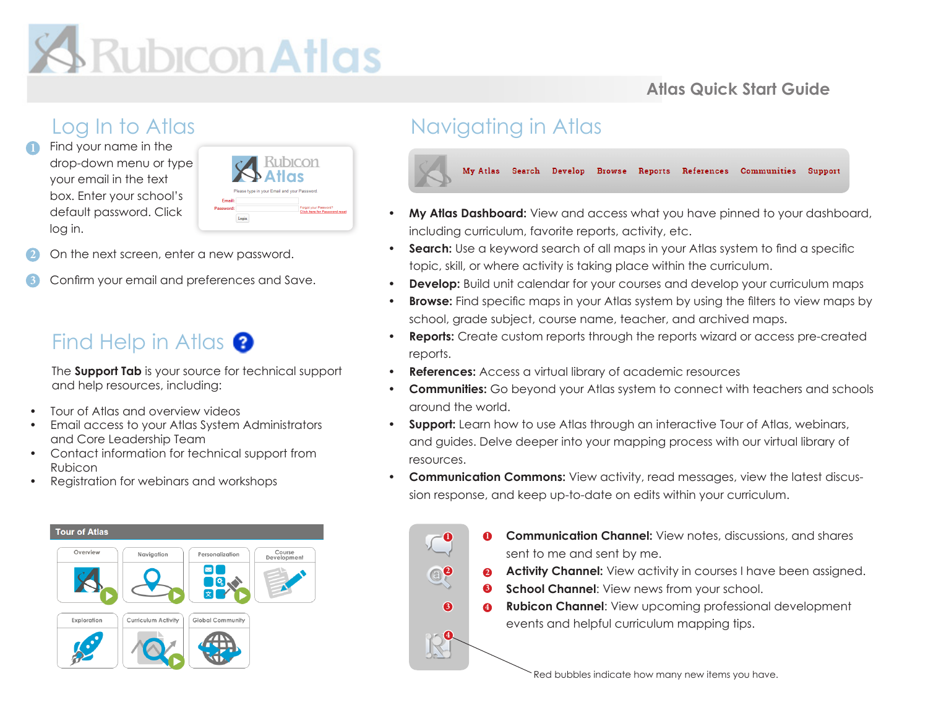# **S**Rubicon Atlas

### **Atlas Quick Start Guide**

## Log In to Atlas

Find your name in the drop-down menu or type your email in the text box. Enter your school's default password. Click log in.



- 2. On the next screen, enter a new password. **2**
- 3. Confirm your email and preferences and Save.

## Find Help in Atlas  $\bigcirc$

The **Support Tab** is your source for technical support and help resources, including:

- Tour of Atlas and overview videos
- Email access to your Atlas System Administrators and Core Leadership Team
- Contact information for technical support from Rubicon
- Registration for webinars and workshops



## Navigating in Atlas

**1**

**3**

**4**

**2**



- **• My Atlas Dashboard:** View and access what you have pinned to your dashboard, including curriculum, favorite reports, activity, etc.
- **• Search:** Use a keyword search of all maps in your Atlas system to find a specific topic, skill, or where activity is taking place within the curriculum.
- **• Develop:** Build unit calendar for your courses and develop your curriculum maps
- **• Browse:** Find specific maps in your Atlas system by using the filters to view maps by school, grade subject, course name, teacher, and archived maps.
- **• Reports:** Create custom reports through the reports wizard or access pre-created reports.
- **• References:** Access a virtual library of academic resources
- **• Communities:** Go beyond your Atlas system to connect with teachers and schools around the world.
- **• Support:** Learn how to use Atlas through an interactive Tour of Atlas, webinars, and guides. Delve deeper into your mapping process with our virtual library of resources.
- **• Communication Commons:** View activity, read messages, view the latest discussion response, and keep up-to-date on edits within your curriculum.

**• Communication Channel:** View notes, discussions, and shares sent to me and sent by me.  $\mathbf{a}$ 

- **• Activity Channel:** View activity in courses I have been assigned. **2**
- **School Channel:** View news from your school. **3**
- **• Rubicon Channel**: View upcoming professional development events and helpful curriculum mapping tips. **4**

Red bubbles indicate how many new items you have.